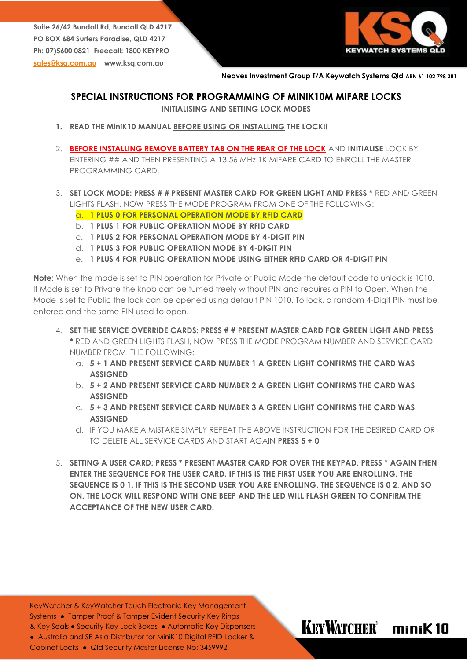**Suite 26/42 Bundall Rd, Bundall QLD 4217 PO BOX 684 Surfers Paradise, QLD 4217 Ph: 07)5600 0821 Freecall: 1800 KEYPRO [sales@ksq.com.au](mailto:sales@ksq.com.au) www.ksq.com.au**



KEYWATCHER® miniK10

#### **Neaves Investment Group T/A Keywatch Systems Qld ABN 61 102 798 381**

## **SPECIAL INSTRUCTIONS FOR PROGRAMMING OF MINIK10M MIFARE LOCKS**

**INITIALISING AND SETTING LOCK MODES**

- **1. READ THE MiniK10 MANUAL BEFORE USING OR INSTALLING THE LOCK!!**
- 2. **BEFORE INSTALLING REMOVE BATTERY TAB ON THE REAR OF THE LOCK** AND **INITIALISE** LOCK BY ENTERING ## AND THEN PRESENTING A 13.56 MHz 1K MIFARE CARD TO ENROLL THE MASTER PROGRAMMING CARD.
- 3. **SET LOCK MODE: PRESS # # PRESENT MASTER CARD FOR GREEN LIGHT AND PRESS \*** RED AND GREEN LIGHTS FLASH, NOW PRESS THE MODE PROGRAM FROM ONE OF THE FOLLOWING:
	- a. **1 PLUS 0 FOR PERSONAL OPERATION MODE BY RFID CARD**
	- b. **1 PLUS 1 FOR PUBLIC OPERATION MODE BY RFID CARD**
	- c. **1 PLUS 2 FOR PERSONAL OPERATION MODE BY 4-DIGIT PIN**
	- d. **1 PLUS 3 FOR PUBLIC OPERATION MODE BY 4-DIGIT PIN**
	- e. **1 PLUS 4 FOR PUBLIC OPERATION MODE USING EITHER RFID CARD OR 4-DIGIT PIN**

**Note**: When the mode is set to PIN operation for Private or Public Mode the default code to unlock is 1010. If Mode is set to Private the knob can be turned freely without PIN and requires a PIN to Open. When the Mode is set to Public the lock can be opened using default PIN 1010. To lock, a random 4-Digit PIN must be entered and the same PIN used to open.

- 4. **SET THE SERVICE OVERRIDE CARDS: PRESS # # PRESENT MASTER CARD FOR GREEN LIGHT AND PRESS \*** RED AND GREEN LIGHTS FLASH, NOW PRESS THE MODE PROGRAM NUMBER AND SERVICE CARD NUMBER FROM THE FOLLOWING:
	- a. **5 + 1 AND PRESENT SERVICE CARD NUMBER 1 A GREEN LIGHT CONFIRMS THE CARD WAS ASSIGNED**
	- b. **5 + 2 AND PRESENT SERVICE CARD NUMBER 2 A GREEN LIGHT CONFIRMS THE CARD WAS ASSIGNED**
	- c. **5 + 3 AND PRESENT SERVICE CARD NUMBER 3 A GREEN LIGHT CONFIRMS THE CARD WAS ASSIGNED**
	- d. IF YOU MAKE A MISTAKE SIMPLY REPEAT THE ABOVE INSTRUCTION FOR THE DESIRED CARD OR TO DELETE ALL SERVICE CARDS AND START AGAIN **PRESS 5 + 0**
- 5. **SETTING A USER CARD: PRESS \* PRESENT MASTER CARD FOR OVER THE KEYPAD, PRESS \* AGAIN THEN ENTER THE SEQUENCE FOR THE USER CARD. IF THIS IS THE FIRST USER YOU ARE ENROLLING, THE SEQUENCE IS 0 1. IF THIS IS THE SECOND USER YOU ARE ENROLLING, THE SEQUENCE IS 0 2, AND SO ON. THE LOCK WILL RESPOND WITH ONE BEEP AND THE LED WILL FLASH GREEN TO CONFIRM THE ACCEPTANCE OF THE NEW USER CARD.**

KeyWatcher & KeyWatcher Touch Electronic Key Management Systems • Tamper Proof & Tamper Evident Security Key Rinas & Key Seals ● Security Key Lock Boxes ● Automatic Key Dispensers ● Australia and SE Asia Distributor for MiniK10 Digital RFID Locker &

Cabinet Locks ● Qld Security Master License No: 3459992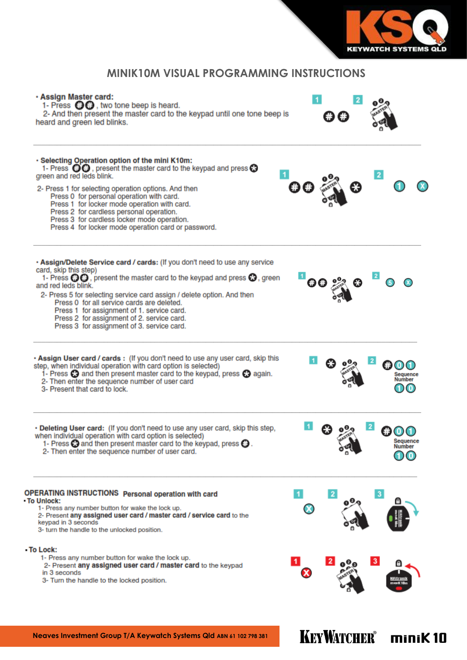

KEYWATCHER® minik 10

# **MINIK10M VISUAL PROGRAMMING INSTRUCTIONS**

| · Assign Master card:<br>1- Press $\bigodot$ , two tone beep is heard.<br>2- And then present the master card to the keypad until one tone beep is<br>heard and green led blinks.                                                                                                                                        |                |   |                         |
|--------------------------------------------------------------------------------------------------------------------------------------------------------------------------------------------------------------------------------------------------------------------------------------------------------------------------|----------------|---|-------------------------|
| · Selecting Operation option of the mini K10m:<br>1- Press $\Theta$ , present the master card to the keypad and press $\Theta$<br>green and red leds blink.                                                                                                                                                              |                |   |                         |
| 2- Press 1 for selecting operation options. And then<br>Press 0 for personal operation with card.<br>Press 1 for locker mode operation with card.<br>Press 2 for cardless personal operation.<br>Press 3 for cardless locker mode operation.<br>Press 4 for locker mode operation card or password.                      |                |   |                         |
| . Assign/Delete Service card / cards: (If you don't need to use any service<br>card, skip this step)<br>1- Press $\bigoplus$ , present the master card to the keypad and press $\bigoplus$ , green<br>and red leds blink.                                                                                                |                |   |                         |
| 2- Press 5 for selecting service card assign / delete option. And then<br>Press 0 for all service cards are deleted.<br>Press 1 for assignment of 1. service card.<br>Press 2 for assignment of 2. service card.<br>Press 3 for assignment of 3. service card.                                                           |                |   |                         |
| . Assign User card / cards : (If you don't need to use any user card, skip this<br>step, when individual operation with card option is selected)<br>1- Press $\odot$ and then present master card to the keypad, press $\odot$ again.<br>2- Then enter the sequence number of user card<br>3- Present that card to lock. |                |   |                         |
| . Deleting User card: (If you don't need to use any user card, skip this step,<br>when individual operation with card option is selected)<br>1- Press $\Theta$ and then present master card to the keypad, press $\Theta$ .<br>2- Then enter the sequence number of user card.                                           |                |   | Sequence<br>Number      |
| OPERATING INSTRUCTIONS Personal operation with card<br><b>• To Unlock:</b><br>1- Press any number button for wake the lock up.<br>2- Present any assigned user card / master card / service card to the<br>keypad in 3 seconds<br>3- turn the handle to the unlocked position.                                           |                | 2 |                         |
| - To Lock:<br>1- Press any number button for wake the lock up.<br>2- Present any assigned user card / master card to the keypad<br>in 3 seconds<br>3- Turn the handle to the locked position.                                                                                                                            | $\blacksquare$ |   | $\overline{\mathbf{3}}$ |
|                                                                                                                                                                                                                                                                                                                          |                |   |                         |